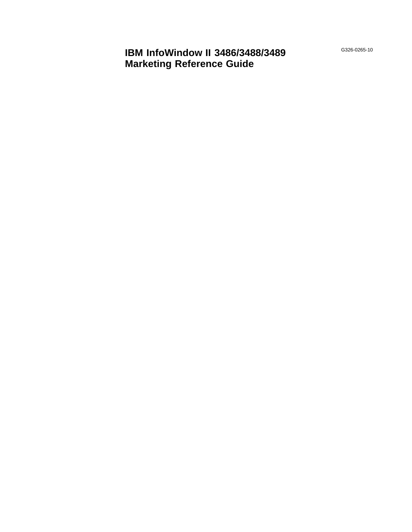G326-0265-10

**IBM InfoWindow II 3486/3488/3489 Marketing Reference Guide**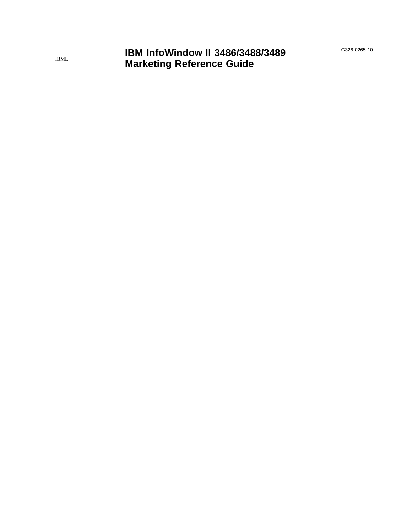G326-0265-10

**IBM InfoWindow II 3486/3488/3489 Marketing Reference Guide**

IBML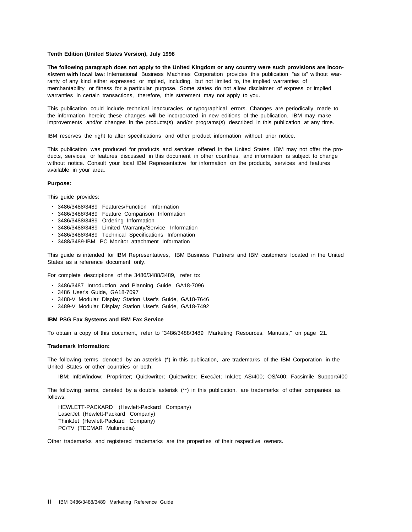#### **Tenth Edition (United States Version), July 1998**

**The following paragraph does not apply to the United Kingdom or any country were such provisions are inconsistent with local law:** International Business Machines Corporation provides this publication "as is" without warranty of any kind either expressed or implied, including, but not limited to, the implied warranties of merchantability or fitness for a particular purpose. Some states do not allow disclaimer of express or implied warranties in certain transactions, therefore, this statement may not apply to you.

This publication could include technical inaccuracies or typographical errors. Changes are periodically made to the information herein; these changes will be incorporated in new editions of the publication. IBM may make improvements and/or changes in the products(s) and/or programs(s) described in this publication at any time.

IBM reserves the right to alter specifications and other product information without prior notice.

This publication was produced for products and services offered in the United States. IBM may not offer the products, services, or features discussed in this document in other countries, and information is subject to change without notice. Consult your local IBM Representative for information on the products, services and features available in your area.

#### **Purpose:**

This guide provides:

- 3486/3488/3489 Features/Function Information
- 3486/3488/3489 Feature Comparison Information
- 3486/3488/3489 Ordering Information
- 3486/3488/3489 Limited Warranty/Service Information
- 3486/3488/3489 Technical Specifications Information
- 3488/3489-IBM PC Monitor attachment Information

This guide is intended for IBM Representatives, IBM Business Partners and IBM customers located in the United States as a reference document only.

For complete descriptions of the 3486/3488/3489, refer to:

- 3486/3487 Introduction and Planning Guide, GA18-7096
- 3486 User's Guide, GA18-7097
- 3488-V Modular Display Station User's Guide, GA18-7646
- 3489-V Modular Display Station User's Guide, GA18-7492

#### **IBM PSG Fax Systems and IBM Fax Service**

To obtain a copy of this document, refer to "3486/3488/3489 Marketing Resources, Manuals," on page 21.

#### **Trademark Information:**

The following terms, denoted by an asterisk (\*) in this publication, are trademarks of the IBM Corporation in the United States or other countries or both:

IBM; InfoWindow; Proprinter; Quickwriter; Quietwriter; ExecJet; InkJet; AS/400; OS/400; Facsimile Support/400

The following terms, denoted by a double asterisk (\*\*) in this publication, are trademarks of other companies as follows:

HEWLETT-PACKARD (Hewlett-Packard Company) LaserJet (Hewlett-Packard Company) ThinkJet (Hewlett-Packard Company) PC/TV (TECMAR Multimedia)

Other trademarks and registered trademarks are the properties of their respective owners.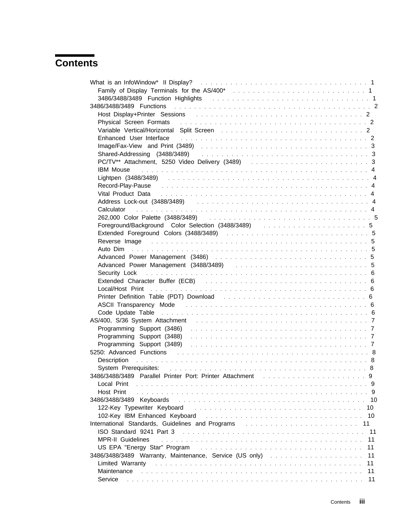# **Contents**

| Family of Display Terminals for the AS/400* entertainment in the state of the AS/400*                                                                                                                                                                                 |    |
|-----------------------------------------------------------------------------------------------------------------------------------------------------------------------------------------------------------------------------------------------------------------------|----|
|                                                                                                                                                                                                                                                                       |    |
|                                                                                                                                                                                                                                                                       |    |
| Host Display+Printer Sessions (example and example and example and example and the set of the set of the set of the set of the set of the set of the set of the set of the set of the set of the set of the set of the set of                                         |    |
|                                                                                                                                                                                                                                                                       |    |
|                                                                                                                                                                                                                                                                       |    |
| Enhanced User Interface entertainment is a substitution of the state of the state of the state of the state of the state of the state of the state of the state of the state of the state of the state of the state of the sta                                        |    |
|                                                                                                                                                                                                                                                                       |    |
|                                                                                                                                                                                                                                                                       |    |
|                                                                                                                                                                                                                                                                       |    |
| <b>IBM Mouse <i>Bottle Bottle Contract Contract Contract Contract Contract Contract Contract Contract Contract Contract Contract Contract Contract Contract Contract Contract Contract Contract Contract Contract Contract Contr</i></b>                              |    |
|                                                                                                                                                                                                                                                                       |    |
| Record-Play-Pause records and the contract of the contract of the contract of the contract of the contract of the contract of the contract of the contract of the contract of the contract of the contract of the contract of                                         |    |
| Vital Product Data responses to the contract of the contract of the contract of the contract of the Vital Product Data response to the contract of the United States of the United States of the Product of the Product of Pro                                        |    |
| Address Lock-out (3488/3489) (and the contract of the contract of the contract of the contract of the contract of the contract of the contract of the contract of the contract of the contract of the contract of the contract                                        |    |
| Calculator (alternative and alternative and alternative and alternative and alternative and alternative and alternative and alternative and alternative and alternative and alternative and alternative and alternative and al                                        |    |
|                                                                                                                                                                                                                                                                       |    |
|                                                                                                                                                                                                                                                                       |    |
|                                                                                                                                                                                                                                                                       |    |
| Reverse Image (assessment of the contract of the contract of the contract of the contract of the contract of t                                                                                                                                                        |    |
|                                                                                                                                                                                                                                                                       |    |
|                                                                                                                                                                                                                                                                       |    |
|                                                                                                                                                                                                                                                                       |    |
| Security Lock in the contract of the contract of the contract of the contract of the contract of the contract of the contract of the contract of the contract of the contract of the contract of the contract of the contract                                         |    |
|                                                                                                                                                                                                                                                                       |    |
|                                                                                                                                                                                                                                                                       |    |
|                                                                                                                                                                                                                                                                       |    |
| Printer Definition Table (PDT) Download entertainment in the state of the Second Lemma and Second Prints of the                                                                                                                                                       |    |
|                                                                                                                                                                                                                                                                       |    |
| Code Update Table (and all and all and all and all and all and all and all and all and all and all and all and a                                                                                                                                                      |    |
|                                                                                                                                                                                                                                                                       |    |
|                                                                                                                                                                                                                                                                       |    |
| Programming Support (3488) Albert Library Albert Library Albert Library Albert Library Albert Library Albert Library Albert Library Albert Library Albert Library Albert Library Albert Library Albert Library Albert Library                                         |    |
|                                                                                                                                                                                                                                                                       |    |
|                                                                                                                                                                                                                                                                       |    |
|                                                                                                                                                                                                                                                                       |    |
|                                                                                                                                                                                                                                                                       |    |
| 3486/3488/3489 Parallel Printer Port: Printer Attachment                                                                                                                                                                                                              |    |
| Local Print                                                                                                                                                                                                                                                           |    |
| Host Print                                                                                                                                                                                                                                                            |    |
| 3486/3488/3489 Keyboards                                                                                                                                                                                                                                              |    |
| 122-Key Typewriter Keyboard                                                                                                                                                                                                                                           | 10 |
| 102-Key IBM Enhanced Keyboard<br><u>. The contract of the contract of the contract of the contract of the contract of the contract of the contract of the contract of the contract of the contract of the contract of the contract of the contract of the contrac</u> | 10 |
|                                                                                                                                                                                                                                                                       | 11 |
|                                                                                                                                                                                                                                                                       | 11 |
| <b>MPR-II Guidelines</b>                                                                                                                                                                                                                                              | 11 |
| US EPA "Energy Star" Program                                                                                                                                                                                                                                          | 11 |
| 3486/3488/3489 Warranty, Maintenance, Service (US only)                                                                                                                                                                                                               | 11 |
| Limited Warranty                                                                                                                                                                                                                                                      | 11 |
| Maintenance                                                                                                                                                                                                                                                           | 11 |
| Service                                                                                                                                                                                                                                                               | 11 |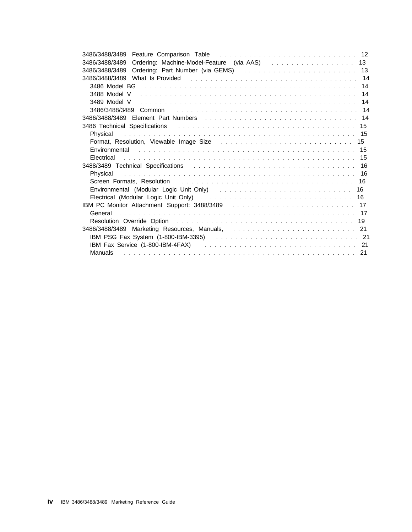| 3486/3488/3489                                                                                                                                                                                                                 |  |
|--------------------------------------------------------------------------------------------------------------------------------------------------------------------------------------------------------------------------------|--|
| 3486/3488/3489 Ordering: Part Number (via GEMS)  13                                                                                                                                                                            |  |
| 3486/3488/3489 What Is Provided (assembly contained a set of the contract of the contract of the contract of t                                                                                                                 |  |
| 3486 Model BG and all and all and all and all and all and all and all and all and all and all and all and all a                                                                                                                |  |
|                                                                                                                                                                                                                                |  |
|                                                                                                                                                                                                                                |  |
|                                                                                                                                                                                                                                |  |
|                                                                                                                                                                                                                                |  |
| 3486 Technical Specifications and all and all and all and all and all and all and all and all and all and all a                                                                                                                |  |
| Physical                                                                                                                                                                                                                       |  |
| Format, Resolution, Viewable Image Size research and contained a series of the Series of the Torman and To                                                                                                                     |  |
| Environmental contact and the contact of the contact of the contact of the contact of the contact of the contact of the contact of the contact of the contact of the contact of the contact of the contact of the contact of t |  |
| Electrical                                                                                                                                                                                                                     |  |
| 3488/3489 Technical Specifications entertainment in the contract of the contract of the contract of the contract of the contract of the contract of the contract of the contract of the contract of the contract of the contra |  |
| Physical contracts and the contracts of the contracts of the contracts of the contracts of the contracts of the                                                                                                                |  |
|                                                                                                                                                                                                                                |  |
|                                                                                                                                                                                                                                |  |
|                                                                                                                                                                                                                                |  |
|                                                                                                                                                                                                                                |  |
|                                                                                                                                                                                                                                |  |
|                                                                                                                                                                                                                                |  |
| 3486/3488/3489 Marketing Resources, Manuals, Theory State Lines and State State Lines and State State Lines and                                                                                                                |  |
|                                                                                                                                                                                                                                |  |
| IBM Fax Service (1-800-IBM-4FAX) and the state of the state of the state of the state of the state of the state of the state of the state of the state of the state of the state of the state of the state of the state of the |  |
|                                                                                                                                                                                                                                |  |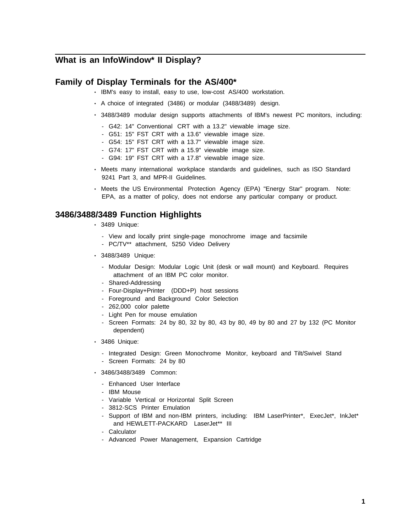## **What is an InfoWindow\* II Display?**

### **Family of Display Terminals for the AS/400\***

- IBM's easy to install, easy to use, low-cost AS/400 workstation.
- A choice of integrated (3486) or modular (3488/3489) design.
- 3488/3489 modular design supports attachments of IBM's newest PC monitors, including:
	- G42: 14" Conventional CRT with a 13.2" viewable image size.
	- G51: 15" FST CRT with a 13.6" viewable image size.
	- G54: 15" FST CRT with a 13.7" viewable image size.
	- G74: 17" FST CRT with a 15.9" viewable image size.
	- G94: 19" FST CRT with a 17.8" viewable image size.
- Meets many international workplace standards and guidelines, such as ISO Standard 9241 Part 3, and MPR-II Guidelines.
- Meets the US Environmental Protection Agency (EPA) "Energy Star" program. Note: EPA, as a matter of policy, does not endorse any particular company or product.

### **3486/3488/3489 Function Highlights**

- 3489 Unique:
	- View and locally print single-page monochrome image and facsimile
	- PC/TV\*\* attachment, 5250 Video Delivery
- 3488/3489 Unique:
	- Modular Design: Modular Logic Unit (desk or wall mount) and Keyboard. Requires attachment of an IBM PC color monitor.
	- Shared-Addressing
	- Four-Display+Printer (DDD+P) host sessions
	- Foreground and Background Color Selection
	- 262,000 color palette
	- Light Pen for mouse emulation
	- Screen Formats: 24 by 80, 32 by 80, 43 by 80, 49 by 80 and 27 by 132 (PC Monitor dependent)
- 3486 Unique:
	- Integrated Design: Green Monochrome Monitor, keyboard and Tilt/Swivel Stand
	- Screen Formats: 24 by 80
- 3486/3488/3489 Common:
	- Enhanced User Interface
	- IBM Mouse
	- Variable Vertical or Horizontal Split Screen
	- 3812-SCS Printer Emulation
	- Support of IBM and non-IBM printers, including: IBM LaserPrinter\*, ExecJet\*, InkJet\* and HEWLETT-PACKARD LaserJet\*\* III
	- Calculator
	- Advanced Power Management, Expansion Cartridge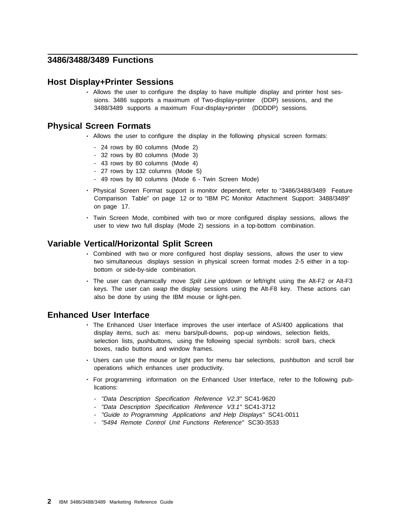### **3486/3488/3489 Functions**

#### **Host Display+Printer Sessions**

• Allows the user to configure the display to have multiple display and printer host sessions. 3486 supports a maximum of Two-display+printer (DDP) sessions, and the 3488/3489 supports a maximum Four-display+printer (DDDDP) sessions.

### **Physical Screen Formats**

- Allows the user to configure the display in the following physical screen formats:
	- 24 rows by 80 columns (Mode 2)
	- 32 rows by 80 columns (Mode 3)
	- 43 rows by 80 columns (Mode 4)
	- 27 rows by 132 columns (Mode 5)
	- 49 rows by 80 columns (Mode 6 Twin Screen Mode)
- Physical Screen Format support is monitor dependent, refer to "3486/3488/3489 Feature Comparison Table" on page 12 or to "IBM PC Monitor Attachment Support: 3488/3489" on page 17.
- Twin Screen Mode, combined with two or more configured display sessions, allows the user to view two full display (Mode 2) sessions in a top-bottom combination.

### **Variable Vertical/Horizontal Split Screen**

- Combined with two or more configured host display sessions, allows the user to view two simultaneous displays session in physical screen format modes 2-5 either in a topbottom or side-by-side combination.
- The user can dynamically move Split Line up/down or left/right using the Alt-F2 or Alt-F3 keys. The user can swap the display sessions using the Alt-F8 key. These actions can also be done by using the IBM mouse or light-pen.

### **Enhanced User Interface**

- The Enhanced User Interface improves the user interface of AS/400 applications that display items, such as: menu bars/pull-downs, pop-up windows, selection fields, selection lists, pushbuttons, using the following special symbols: scroll bars, check boxes, radio buttons and window frames.
- Users can use the mouse or light pen for menu bar selections, pushbutton and scroll bar operations which enhances user productivity.
- For programming information on the Enhanced User Interface, refer to the following publications:
	- "Data Description Specification Reference V2.3" SC41-9620
	- "Data Description Specification Reference V3.1" SC41-3712
	- "Guide to Programming Applications and Help Displays" SC41-0011
	- "5494 Remote Control Unit Functions Reference" SC30-3533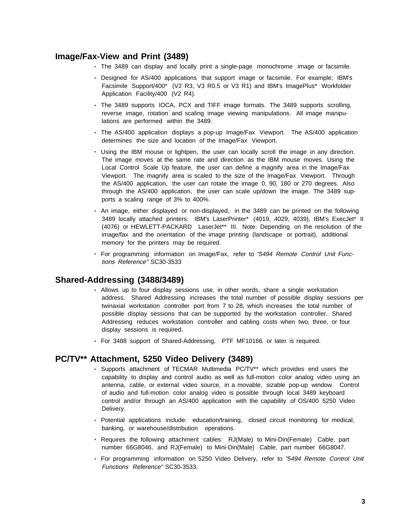## **Image/Fax-View and Print (3489)**

- The 3489 can display and locally print a single-page monochrome image or facsimile.
- Designed for AS/400 applications that support image or facsimile. For example; IBM's Facsimile Support/400\* (V2 R3, V3 R0.5 or V3 R1) and IBM's ImagePlus\* Workfolder Application Facility/400 (V2 R4).
- The 3489 supports IOCA, PCX and TIFF image formats. The 3489 supports scrolling, reverse image, rotation and scaling image viewing manipulations. All image manipulations are performed within the 3489.
- The AS/400 application displays a pop-up Image/Fax Viewport. The AS/400 application determines the size and location of the Image/Fax Viewport.
- Using the IBM mouse or lightpen, the user can locally scroll the image in any direction. The image moves at the same rate and direction as the IBM mouse moves. Using the Local Control Scale Up feature, the user can define a magnify area in the Image/Fax Viewport. The magnify area is scaled to the size of the Image/Fax Viewport. Through the AS/400 application, the user can rotate the image 0, 90, 180 or 270 degrees. Also through the AS/400 application, the user can scale up/down the image. The 3489 supports a scaling range of 3% to 400%.
- An image, either displayed or non-displayed, in the 3489 can be printed on the following 3489 locally attached printers: IBM's LaserPrinter\* (4019, 4029, 4039), IBM's ExecJet\* II (4076) or HEWLETT-PACKARD LaserJet\*\* III. Note: Depending on the resolution of the image/fax and the orientation of the image printing (landscape or portrait), additional memory for the printers may be required.
- For programming information on Image/Fax, refer to "5494 Remote Control Unit Functions Reference" SC30-3533

### **Shared-Addressing (3488/3489)**

- Allows up to four display sessions use, in other words, share a single workstation address. Shared Addressing increases the total number of possible display sessions per twinaxial workstation controller port from 7 to 28, which increases the total number of possible display sessions that can be supported by the workstation controller. Shared Addressing reduces workstation controller and cabling costs when two, three, or four display sessions is required.
- For 3488 support of Shared-Addressing, PTF MF10166 or later is required.

### **PC/TV\*\* Attachment, 5250 Video Delivery (3489)**

- Supports attachment of TECMAR Multimedia PC/TV\*\* which provides end users the capability to display and control audio as well as full-motion color analog video using an antenna, cable, or external video source, in a movable, sizable pop-up window. Control of audio and full-motion color analog video is possible through local 3489 keyboard control and/or through an AS/400 application with the capability of OS/400 5250 Video Delivery.
- Potential applications include: education/training, closed circuit monitoring for medical, banking, or warehouse/distribution operations.
- Requires the following attachment cables: RJ(Male) to Mini-Din(Female) Cable, part number 66G8046, and RJ(Female) to Mini-Din(Male) Cable, part number 66G8047.
- For programming information on 5250 Video Delivery, refer to "5494 Remote Control Unit Functions Reference" SC30-3533.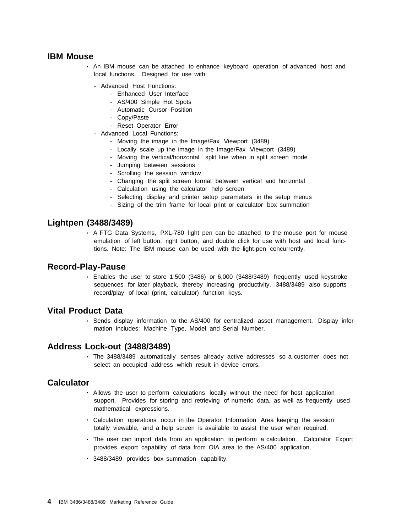### **IBM Mouse**

- An IBM mouse can be attached to enhance keyboard operation of advanced host and local functions. Designed for use with:
	- Advanced Host Functions:
		- Enhanced User Interface
		- AS/400 Simple Hot Spots
		- Automatic Cursor Position
		- Copy/Paste
		- Reset Operator Error
	- Advanced Local Functions:
		- Moving the image in the Image/Fax Viewport (3489)
		- Locally scale up the image in the Image/Fax Viewport (3489)
		- Moving the vertical/horizontal split line when in split screen mode
		- Jumping between sessions
		- Scrolling the session window
		- Changing the split screen format between vertical and horizontal
		- Calculation using the calculator help screen
		- Selecting display and printer setup parameters in the setup menus
		- Sizing of the trim frame for local print or calculator box summation

### **Lightpen (3488/3489)**

• A FTG Data Systems, PXL-780 light pen can be attached to the mouse port for mouse emulation of left button, right button, and double click for use with host and local functions. Note: The IBM mouse can be used with the light-pen concurrently.

#### **Record-Play-Pause**

• Enables the user to store 1,500 (3486) or 6,000 (3488/3489) frequently used keystroke sequences for later playback, thereby increasing productivity. 3488/3489 also supports record/play of local (print, calculator) function keys.

### **Vital Product Data**

• Sends display information to the AS/400 for centralized asset management. Display information includes: Machine Type, Model and Serial Number.

### **Address Lock-out (3488/3489)**

• The 3488/3489 automatically senses already active addresses so a customer does not select an occupied address which result in device errors.

#### **Calculator**

- Allows the user to perform calculations locally without the need for host application support. Provides for storing and retrieving of numeric data, as well as frequently used mathematical expressions.
- Calculation operations occur in the Operator Information Area keeping the session totally viewable, and a help screen is available to assist the user when required.
- The user can import data from an application to perform a calculation. Calculator Export provides export capability of data from OIA area to the AS/400 application.
- 3488/3489 provides box summation capability.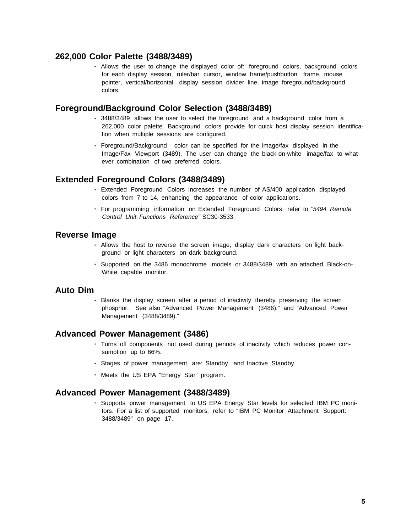### **262,000 Color Palette (3488/3489)**

• Allows the user to change the displayed color of: foreground colors, background colors for each display session, ruler/bar cursor, window frame/pushbutton frame, mouse pointer, vertical/horizontal display session divider line, image foreground/background colors.

### **Foreground/Background Color Selection (3488/3489)**

- 3488/3489 allows the user to select the foreground and a background color from a 262,000 color palette. Background colors provide for quick host display session identification when multiple sessions are configured.
- Foreground/Background color can be specified for the image/fax displayed in the Image/Fax Viewport (3489). The user can change the black-on-white image/fax to whatever combination of two preferred colors.

### **Extended Foreground Colors (3488/3489)**

- Extended Foreground Colors increases the number of AS/400 application displayed colors from 7 to 14, enhancing the appearance of color applications.
- For programming information on Extended Foreground Colors, refer to "5494 Remote Control Unit Functions Reference" SC30-3533.

### **Reverse Image**

- Allows the host to reverse the screen image, display dark characters on light background or light characters on dark background.
- Supported on the 3486 monochrome models or 3488/3489 with an attached Black-on-White capable monitor.

### **Auto Dim**

• Blanks the display screen after a period of inactivity thereby preserving the screen phosphor. See also "Advanced Power Management (3486)." and "Advanced Power Management (3488/3489)."

### **Advanced Power Management (3486)**

- Turns off components not used during periods of inactivity which reduces power consumption up to 66%.
- Stages of power management are: Standby, and Inactive Standby.
- Meets the US EPA "Energy Star" program.

### **Advanced Power Management (3488/3489)**

• Supports power management to US EPA Energy Star levels for selected IBM PC monitors. For a list of supported monitors, refer to "IBM PC Monitor Attachment Support: 3488/3489" on page 17.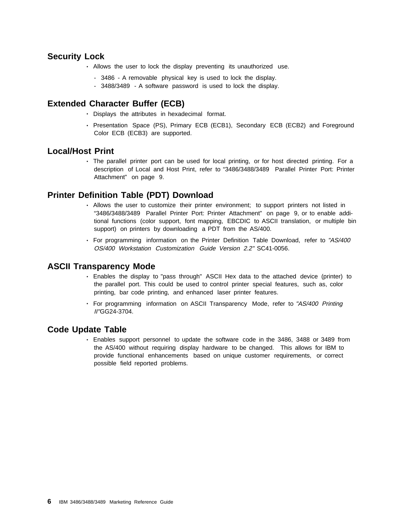### **Security Lock**

- Allows the user to lock the display preventing its unauthorized use.
	- 3486 A removable physical key is used to lock the display.
	- 3488/3489 A software password is used to lock the display.

### **Extended Character Buffer (ECB)**

- Displays the attributes in hexadecimal format.
- Presentation Space (PS), Primary ECB (ECB1), Secondary ECB (ECB2) and Foreground Color ECB (ECB3) are supported.

### **Local/Host Print**

• The parallel printer port can be used for local printing, or for host directed printing. For a description of Local and Host Print, refer to "3486/3488/3489 Parallel Printer Port: Printer Attachment" on page 9.

### **Printer Definition Table (PDT) Download**

- Allows the user to customize their printer environment; to support printers not listed in "3486/3488/3489 Parallel Printer Port: Printer Attachment" on page 9, or to enable additional functions (color support, font mapping, EBCDIC to ASCII translation, or multiple bin support) on printers by downloading a PDT from the AS/400.
- For programming information on the Printer Definition Table Download, refer to "AS/400 OS/400 Workstation Customization Guide Version 2.2" SC41-0056.

### **ASCII Transparency Mode**

- Enables the display to "pass through" ASCII Hex data to the attached device (printer) to the parallel port. This could be used to control printer special features, such as, color printing, bar code printing, and enhanced laser printer features.
- For programming information on ASCII Transparency Mode, refer to "AS/400 Printing II"GG24-3704.

### **Code Update Table**

• Enables support personnel to update the software code in the 3486, 3488 or 3489 from the AS/400 without requiring display hardware to be changed. This allows for IBM to provide functional enhancements based on unique customer requirements, or correct possible field reported problems.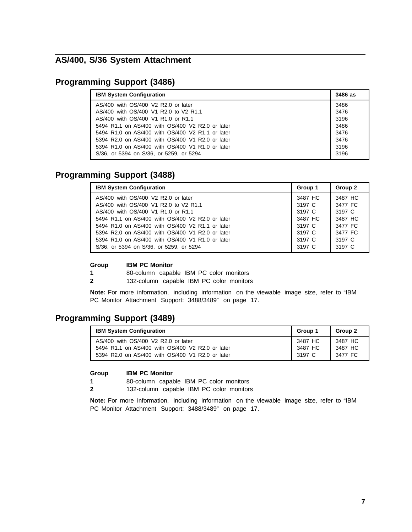## **AS/400, S/36 System Attachment**

## **Programming Support (3486)**

| <b>IBM System Configuration</b>                  | 3486 as |
|--------------------------------------------------|---------|
| AS/400 with OS/400 V2 R2.0 or later              | 3486    |
| AS/400 with OS/400 V1 R2.0 to V2 R1.1            | 3476    |
| AS/400 with OS/400 V1 R1.0 or R1.1               | 3196    |
| 5494 R1.1 on AS/400 with OS/400 V2 R2.0 or later | 3486    |
| 5494 R1.0 on AS/400 with OS/400 V2 R1.1 or later | 3476    |
| 5394 R2.0 on AS/400 with OS/400 V1 R2.0 or later | 3476    |
| 5394 R1.0 on AS/400 with OS/400 V1 R1.0 or later | 3196    |
| S/36, or 5394 on S/36, or 5259, or 5294          | 3196    |

## **Programming Support (3488)**

| <b>IBM System Configuration</b>                  | Group 1 | Group 2 |
|--------------------------------------------------|---------|---------|
| AS/400 with OS/400 V2 R2.0 or later              | 3487 HC | 3487 HC |
| AS/400 with OS/400 V1 R2.0 to V2 R1.1            | 3197 C  | 3477 FC |
| AS/400 with OS/400 V1 R1.0 or R1.1               | 3197 C  | 3197 C  |
| 5494 R1.1 on AS/400 with OS/400 V2 R2.0 or later | 3487 HC | 3487 HC |
| 5494 R1.0 on AS/400 with OS/400 V2 R1.1 or later | 3197 C  | 3477 FC |
| 5394 R2.0 on AS/400 with OS/400 V1 R2.0 or later | 3197 C  | 3477 FC |
| 5394 R1.0 on AS/400 with OS/400 V1 R1.0 or later | 3197 C  | 3197 C  |
| S/36, or 5394 on S/36, or 5259, or 5294          | 3197 C  | 3197 C  |

#### **Group IBM PC Monitor**

**1** 80-column capable IBM PC color monitors

**2** 132-column capable IBM PC color monitors

**Note:** For more information, including information on the viewable image size, refer to "IBM PC Monitor Attachment Support: 3488/3489" on page 17.

## **Programming Support (3489)**

| <b>IBM System Configuration</b>                  | Group 1 | Group 2 |
|--------------------------------------------------|---------|---------|
| AS/400 with OS/400 V2 R2.0 or later              | 3487 HC | 3487 HC |
| 5494 R1.1 on AS/400 with OS/400 V2 R2.0 or later | 3487 HC | 3487 HC |
| 5394 R2.0 on AS/400 with OS/400 V1 R2.0 or later | 3197 C  | 3477 FC |

#### **Group IBM PC Monitor**

**1** 80-column capable IBM PC color monitors

**2** 132-column capable IBM PC color monitors

**Note:** For more information, including information on the viewable image size, refer to "IBM PC Monitor Attachment Support: 3488/3489" on page 17.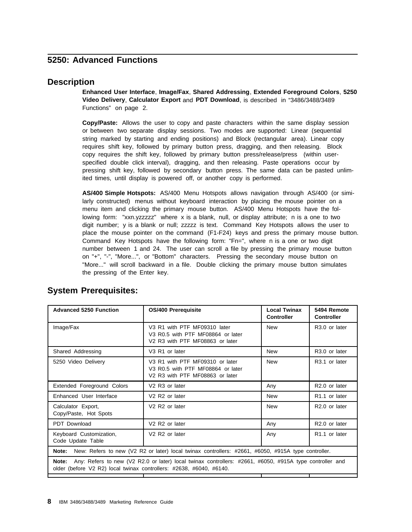## **5250: Advanced Functions**

### **Description**

**Enhanced User Interface**, **Image/Fax**, **Shared Addressing**, **Extended Foreground Colors**, **5250 Video Delivery**, **Calculator Export** and **PDT Download**, is described in "3486/3488/3489 Functions" on page 2.

**Copy/Paste:** Allows the user to copy and paste characters within the same display session or between two separate display sessions. Two modes are supported: Linear (sequential string marked by starting and ending positions) and Block (rectangular area). Linear copy requires shift key, followed by primary button press, dragging, and then releasing. Block copy requires the shift key, followed by primary button press/release/press (within userspecified double click interval), dragging, and then releasing. Paste operations occur by pressing shift key, followed by secondary button press. The same data can be pasted unlimited times, until display is powered off, or another copy is performed.

**AS/400 Simple Hotspots:** AS/400 Menu Hotspots allows navigation through AS/400 (or similarly constructed) menus without keyboard interaction by placing the mouse pointer on a menu item and clicking the primary mouse button. AS/400 Menu Hotspots have the following form: "xxn.yzzzzz" where x is a blank, null, or display attribute; n is a one to two digit number; y is a blank or null; zzzzz is text. Command Key Hotspots allows the user to place the mouse pointer on the command (F1-F24) keys and press the primary mouse button. Command Key Hotspots have the following form: "Fn=", where n is a one or two digit number between 1 and 24. The user can scroll a file by pressing the primary mouse button on "+", "-", "More...", or "Bottom" characters. Pressing the secondary mouse button on "More..." will scroll backward in a file. Double clicking the primary mouse button simulates the pressing of the Enter key.

| <b>Advanced 5250 Function</b>                                                                                                                                                           | <b>OS/400 Prerequisite</b>                                                                              | <b>Local Twinax</b><br><b>Controller</b> | 5494 Remote<br><b>Controller</b> |  |  |
|-----------------------------------------------------------------------------------------------------------------------------------------------------------------------------------------|---------------------------------------------------------------------------------------------------------|------------------------------------------|----------------------------------|--|--|
| Image/Fax                                                                                                                                                                               | V3 R1 with PTF MF09310 later<br>V3 R0.5 with PTF MF08864 or later<br>V2 R3 with PTF MF08863 or later    | <b>New</b>                               | R <sub>3.0</sub> or later        |  |  |
| Shared Addressing                                                                                                                                                                       | V <sub>3</sub> R <sub>1</sub> or later                                                                  | <b>New</b>                               | R <sub>3.0</sub> or later        |  |  |
| 5250 Video Delivery                                                                                                                                                                     | V3 R1 with PTF MF09310 or later<br>V3 R0.5 with PTF MF08864 or later<br>V2 R3 with PTF MF08863 or later |                                          | R <sub>3.1</sub> or later        |  |  |
| Extended Foreground Colors                                                                                                                                                              | V <sub>2</sub> R <sub>3</sub> or later                                                                  | Any                                      | R <sub>2.0</sub> or later        |  |  |
| Enhanced User Interface                                                                                                                                                                 | V <sub>2</sub> R <sub>2</sub> or later                                                                  | <b>New</b>                               | R <sub>1.1</sub> or later        |  |  |
| Calculator Export,<br>Copy/Paste, Hot Spots                                                                                                                                             | V <sub>2</sub> R <sub>2</sub> or later                                                                  | <b>New</b>                               | R <sub>2.0</sub> or later        |  |  |
| PDT Download                                                                                                                                                                            | V <sub>2</sub> R <sub>2</sub> or later                                                                  | Any                                      | R <sub>2.0</sub> or later        |  |  |
| V <sub>2</sub> R <sub>2</sub> or later<br>Keyboard Customization,<br>Code Update Table                                                                                                  |                                                                                                         | Any                                      | R <sub>1.1</sub> or later        |  |  |
| New: Refers to new (V2 R2 or later) local twinax controllers: #2661, #6050, #915A type controller.<br>Note:                                                                             |                                                                                                         |                                          |                                  |  |  |
| Any: Refers to new (V2 R2.0 or later) local twinax controllers: #2661, #6050, #915A type controller and<br>Note:<br>older (before V2 R2) local twinax controllers: #2638, #6040, #6140. |                                                                                                         |                                          |                                  |  |  |
|                                                                                                                                                                                         |                                                                                                         |                                          |                                  |  |  |

## **System Prerequisites:**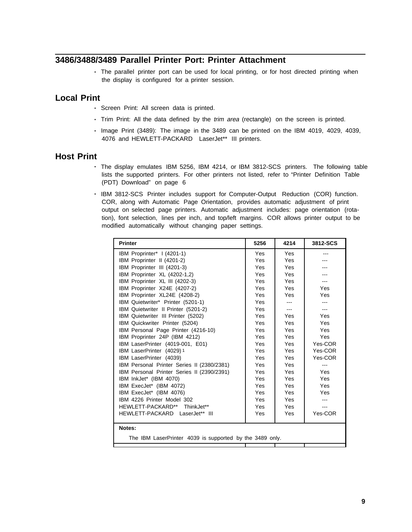## **3486/3488/3489 Parallel Printer Port: Printer Attachment**

• The parallel printer port can be used for local printing, or for host directed printing when the display is configured for a printer session.

### **Local Print**

- Screen Print: All screen data is printed.
- Trim Print: All the data defined by the *trim area* (rectangle) on the screen is printed.
- Image Print (3489): The image in the 3489 can be printed on the IBM 4019, 4029, 4039, 4076 and HEWLETT-PACKARD LaserJet\*\* III printers.

### **Host Print**

- The display emulates IBM 5256, IBM 4214, or IBM 3812-SCS printers. The following table lists the supported printers. For other printers not listed, refer to "Printer Definition Table (PDT) Download" on page 6
- IBM 3812-SCS Printer includes support for Computer-Output Reduction (COR) function. COR, along with Automatic Page Orientation, provides automatic adjustment of print output on selected page printers. Automatic adjustment includes: page orientation (rotation), font selection, lines per inch, and top/left margins. COR allows printer output to be modified automatically without changing paper settings.

| <b>Printer</b>                                                     | 5256 | 4214 | 3812-SCS |  |
|--------------------------------------------------------------------|------|------|----------|--|
| IBM Proprinter* I (4201-1)                                         | Yes  | Yes  |          |  |
| IBM Proprinter II (4201-2)                                         | Yes  | Yes  |          |  |
| IBM Proprinter III (4201-3)                                        | Yes  | Yes  |          |  |
| IBM Proprinter XL (4202-1,2)                                       | Yes  | Yes  |          |  |
| IBM Proprinter XL III (4202-3)                                     | Yes  | Yes  |          |  |
| IBM Proprinter X24E (4207-2)                                       | Yes  | Yes  | Yes      |  |
| IBM Proprinter XL24E (4208-2)                                      | Yes  | Yes  | Yes      |  |
| IBM Quietwriter* Printer (5201-1)                                  | Yes  | ---  |          |  |
| IBM Quietwriter II Printer (5201-2)                                | Yes  |      |          |  |
| IBM Quietwriter III Printer (5202)                                 | Yes  | Yes  | Yes      |  |
| IBM Quickwriter Printer (5204)                                     | Yes  | Yes  | Yes      |  |
| IBM Personal Page Printer (4216-10)                                | Yes  | Yes  | Yes      |  |
| IBM Proprinter 24P (IBM 4212)                                      | Yes  | Yes  | Yes      |  |
| IBM LaserPrinter (4019-001, E01)                                   | Yes  | Yes  | Yes-COR  |  |
| IBM LaserPrinter (4029) 1                                          | Yes  | Yes  | Yes-COR  |  |
| IBM LaserPrinter (4039)                                            | Yes  | Yes  | Yes-COR  |  |
| IBM Personal Printer Series II (2380/2381)                         | Yes  | Yes  | $- - -$  |  |
| IBM Personal Printer Series II (2390/2391)                         | Yes  | Yes  | Yes      |  |
| IBM InkJet* (IBM 4070)                                             | Yes  | Yes  | Yes      |  |
| IBM ExecJet* (IBM 4072)                                            | Yes  | Yes  | Yes      |  |
| IBM ExecJet* (IBM 4076)                                            | Yes  | Yes  | Yes      |  |
| IBM 4226 Printer Model 302                                         | Yes  | Yes  |          |  |
| HEWLETT-PACKARD** ThinkJet**                                       | Yes  | Yes  |          |  |
| HEWLETT-PACKARD LaserJet** III                                     | Yes  | Yes  | Yes-COR  |  |
| Notes:<br>The IBM LaserPrinter 4039 is supported by the 3489 only. |      |      |          |  |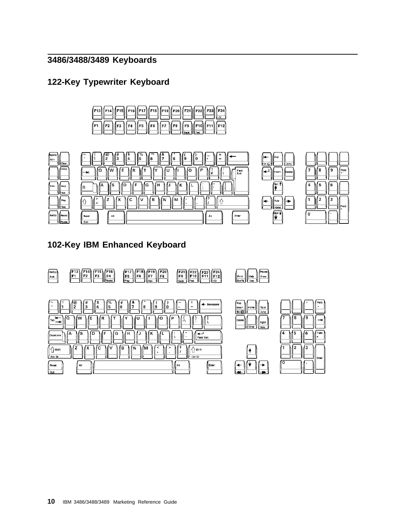# **3486/3488/3489 Keyboards**

## **122-Key Typewriter Keyboard**









## **102-Key IBM Enhanced Keyboard**

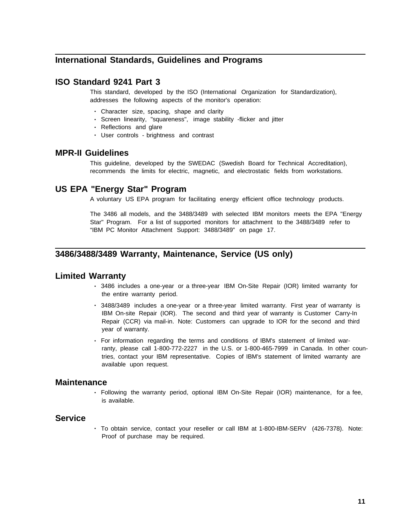## **International Standards, Guidelines and Programs**

### **ISO Standard 9241 Part 3**

This standard, developed by the ISO (International Organization for Standardization), addresses the following aspects of the monitor's operation:

- Character size, spacing, shape and clarity
- Screen linearity, "squareness", image stability -flicker and jitter
- Reflections and glare
- User controls brightness and contrast

### **MPR-II Guidelines**

This guideline, developed by the SWEDAC (Swedish Board for Technical Accreditation), recommends the limits for electric, magnetic, and electrostatic fields from workstations.

### **US EPA "Energy Star" Program**

A voluntary US EPA program for facilitating energy efficient office technology products.

The 3486 all models, and the 3488/3489 with selected IBM monitors meets the EPA "Energy Star" Program. For a list of supported monitors for attachment to the 3488/3489 refer to "IBM PC Monitor Attachment Support: 3488/3489" on page 17.

### **3486/3488/3489 Warranty, Maintenance, Service (US only)**

#### **Limited Warranty**

- 3486 includes a one-year or a three-year IBM On-Site Repair (IOR) limited warranty for the entire warranty period.
- 3488/3489 includes a one-year or a three-year limited warranty. First year of warranty is IBM On-site Repair (IOR). The second and third year of warranty is Customer Carry-In Repair (CCR) via mail-in. Note: Customers can upgrade to IOR for the second and third year of warranty.
- For information regarding the terms and conditions of IBM's statement of limited warranty, please call 1-800-772-2227 in the U.S. or 1-800-465-7999 in Canada. In other countries, contact your IBM representative. Copies of IBM's statement of limited warranty are available upon request.

#### **Maintenance**

• Following the warranty period, optional IBM On-Site Repair (IOR) maintenance, for a fee, is available.

### **Service**

• To obtain service, contact your reseller or call IBM at 1-800-IBM-SERV (426-7378). Note: Proof of purchase may be required.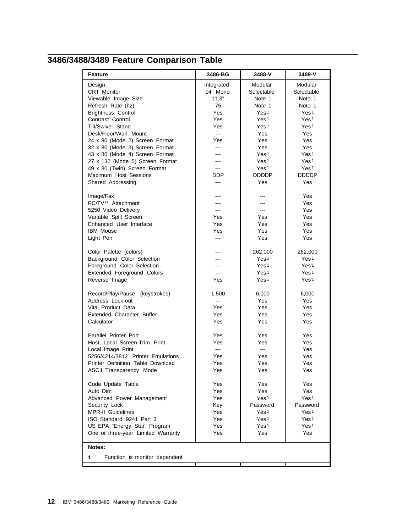# **3486/3488/3489 Feature Comparison Table**

| <b>Feature</b>                     | 3486-BG        | 3488-V           | 3489-V           |
|------------------------------------|----------------|------------------|------------------|
| Design                             | Integrated     | Modular          | Modular          |
| CRT Monitor                        | 14" Mono       | Selectable       | Selectable       |
| Viewable Image Size                | 11.3"          | Note 1           | Note 1           |
| Refresh Rate (hz)                  | 75             | Note 1           | Note 1           |
| <b>Brightness Control</b>          | Yes            | Yes <sup>1</sup> | Yes <sup>1</sup> |
| Contrast Control                   | Yes            | Yes <sup>1</sup> | Yes <sup>1</sup> |
| Tilt/Swivel Stand                  | Yes            | Yes <sub>1</sub> | Yes <sub>1</sub> |
| Desk/Floor/Wall Mount              | <u></u>        | Yes              | Yes              |
| 24 x 80 (Mode 2) Screen Format     | Yes            | Yes              | Yes              |
| 32 x 80 (Mode 3) Screen Format     | ---            | Yes              | Yes              |
| 43 x 80 (Mode 4) Screen Format     |                | Yes <sup>1</sup> | Yes <sup>1</sup> |
| 27 x 132 (Mode 5) Screen Format    | ---            | Yes <sub>1</sub> | Yes <sub>1</sub> |
| 49 x 80 (Twin) Screen Format       | محمد           | Yes <sup>1</sup> | Yes <sup>1</sup> |
| Maximum Host Sessions              | <b>DDP</b>     | <b>DDDDP</b>     | <b>DDDDP</b>     |
| Shared Addressing                  | $\overline{a}$ | Yes              | Yes              |
|                                    |                |                  |                  |
| Image/Fax                          | ---            | ---              | Yes              |
| PC/TV** Attachment                 | $---$          | ---              | Yes              |
| 5250 Video Delivery                | $\overline{a}$ | $---$            | Yes              |
| Variable Split Screen              | Yes            | Yes              | Yes              |
| Enhanced User Interface            | Yes            | Yes              | Yes              |
| <b>IBM Mouse</b>                   | Yes            | Yes              | Yes              |
| Light Pen                          | $\overline{a}$ | Yes              | Yes              |
|                                    |                |                  |                  |
| Color Palette (colors)             |                | 262,000          | 262,000          |
| Background Color Selection         | ---            | Yes <sub>1</sub> | Yes <sub>1</sub> |
| Foreground Color Selection         | ---            | Yes <sup>1</sup> | Yes <sup>1</sup> |
| Extended Foreground Colors         | ---            | Yes <sup>1</sup> | Yes <sup>1</sup> |
| Reverse Image                      | Yes            | Yes <sub>1</sub> | Yes <sub>1</sub> |
| Record/Play/Pause (keystrokes)     | 1,500          | 6,000            | 6,000            |
| Address Lock-out                   | <u></u>        | Yes              | Yes              |
| Vital Product Data                 | Yes            | Yes              | Yes              |
| Extended Character Buffer          | Yes            | Yes              | Yes              |
| Calculator                         | Yes            | Yes              | Yes              |
|                                    |                |                  |                  |
| Parallel Printer Port              | Yes            | Yes              | Yes              |
| Host, Local Screen-Trim Print      | Yes            | Yes              | Yes              |
| Local Image Print                  | <u></u>        | <u></u>          | Yes              |
| 5256/4214/3812 Printer Emulations  | Yes            | Yes              | Yes              |
| Printer Definition Table Download  | Yes            | Yes              | Yes              |
| <b>ASCII Transparency Mode</b>     | Yes            | Yes              | Yes              |
| Code Update Table                  | Yes            | Yes              | Yes              |
| Auto Dim                           | Yes            | Yes              | Yes              |
| Advanced Power Management          | Yes            | Yes <sub>1</sub> | Yes <sub>1</sub> |
| Security Lock                      | Key            | Password         | Password         |
| <b>MPR-II</b> Guidelines           | Yes            | Yes <sup>1</sup> | Yes <sup>1</sup> |
| ISO Standard 9241 Part 3           | Yes            | Yes <sub>1</sub> | Yes <sub>1</sub> |
| US EPA "Energy Star" Program       | Yes            | Yes <sup>1</sup> | Yes <sup>1</sup> |
| One or three-year Limited Warranty | Yes            | Yes              | Yes              |
| Notes:                             |                |                  |                  |
|                                    |                |                  |                  |
| Function is monitor dependent<br>1 |                |                  |                  |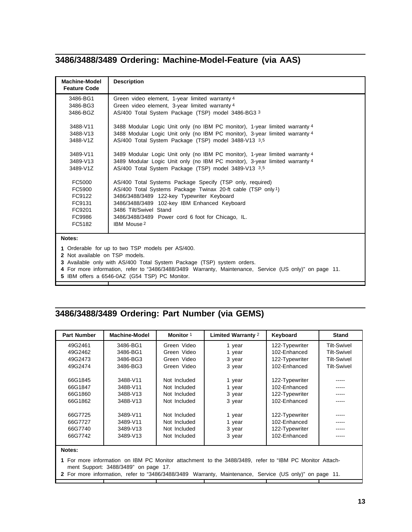## **3486/3488/3489 Ordering: Machine-Model-Feature (via AAS)**

| <b>Machine-Model</b><br><b>Feature Code</b> | <b>Description</b>                                                                               |
|---------------------------------------------|--------------------------------------------------------------------------------------------------|
| 3486-BG1<br>3486-BG3                        | Green video element, 1-year limited warranty 4<br>Green video element, 3-year limited warranty 4 |
| 3486-BGZ                                    | AS/400 Total System Package (TSP) model 3486-BG3 3                                               |
| 3488-V11                                    | 3488 Modular Logic Unit only (no IBM PC monitor), 1-year limited warranty 4                      |
| 3488-V13                                    | 3488 Modular Logic Unit only (no IBM PC monitor), 3-year limited warranty 4                      |
| 3488-V1Z                                    | AS/400 Total System Package (TSP) model 3488-V13 3,5                                             |
| 3489-V11                                    | 3489 Modular Logic Unit only (no IBM PC monitor), 1-year limited warranty 4                      |
| 3489-V13                                    | 3489 Modular Logic Unit only (no IBM PC monitor), 3-year limited warranty 4                      |
| 3489-V1Z                                    | AS/400 Total System Package (TSP) model 3489-V13 3,5                                             |
| FC5000                                      | AS/400 Total Systems Package Specify (TSP only, required)                                        |
| FC5900                                      | AS/400 Total Systems Package Twinax 20-ft cable (TSP only1)                                      |
| FC9122                                      | 3486/3488/3489 122-key Typewriter Keyboard                                                       |
| FC9131                                      | 3486/3488/3489 102-key IBM Enhanced Keyboard                                                     |
| FC9201                                      | 3486 Tilt/Swivel Stand                                                                           |
| FC9986                                      | 3486/3488/3489 Power cord 6 foot for Chicago, IL.                                                |
| FC5182                                      | IBM Mouse 2                                                                                      |
| Notes:                                      |                                                                                                  |
|                                             | 1 Orderable for up to two TSP models per AS/400.                                                 |
| 2 Not available on TSP models.              |                                                                                                  |
|                                             | 3 Available only with AS/400 Total System Package (TSP) system orders.                           |

- **4** For more information, refer to "3486/3488/3489 Warranty, Maintenance, Service (US only)" on page 11.
- **5** IBM offers a 6546-0AZ (G54 TSP) PC Monitor.

## **3486/3488/3489 Ordering: Part Number (via GEMS)**

| <b>Part Number</b>                                                                                      | <b>Machine-Model</b> | Monitor 1    | <b>Limited Warranty 2</b> | Keyboard       | <b>Stand</b>       |
|---------------------------------------------------------------------------------------------------------|----------------------|--------------|---------------------------|----------------|--------------------|
| 49G2461                                                                                                 | 3486-BG1             | Green Video  | 1 year                    | 122-Typewriter | <b>Tilt-Swivel</b> |
| 49G2462                                                                                                 | 3486-BG1             | Green Video  | 1 year                    | 102-Enhanced   | <b>Tilt-Swivel</b> |
| 49G2473                                                                                                 | 3486-BG3             | Green Video  | 3 year                    | 122-Typewriter | <b>Tilt-Swivel</b> |
| 49G2474                                                                                                 | 3486-BG3             | Green Video  | 3 year                    | 102-Enhanced   | <b>Tilt-Swivel</b> |
|                                                                                                         |                      |              |                           |                |                    |
| 66G1845                                                                                                 | 3488-V11             | Not Included | 1 year                    | 122-Typewriter | -----              |
| 66G1847                                                                                                 | 3488-V11             | Not Included | 1 year                    | 102-Enhanced   |                    |
| 66G1860                                                                                                 | 3488-V13             | Not Included | 3 year                    | 122-Typewriter | -----              |
| 66G1862                                                                                                 | 3488-V13             | Not Included | 3 year                    | 102-Enhanced   |                    |
|                                                                                                         |                      |              |                           |                |                    |
| 66G7725                                                                                                 | 3489-V11             | Not Included | 1 year                    | 122-Typewriter |                    |
| 66G7727                                                                                                 | 3489-V11             | Not Included | 1 year                    | 102-Enhanced   | -----              |
| 66G7740                                                                                                 | 3489-V13             | Not Included | 3 year                    | 122-Typewriter |                    |
| 66G7742                                                                                                 | 3489-V13             | Not Included | 3 year                    | 102-Enhanced   | -----              |
|                                                                                                         |                      |              |                           |                |                    |
| Notes:                                                                                                  |                      |              |                           |                |                    |
| 4. Far mens information, an IDM DO Monitor attachment to the 0400/0400, refer to "IDM DO Monitor Attack |                      |              |                           |                |                    |

**1** For more information on IBM PC Monitor attachment to the 3488/3489, refer to "IBM PC Monitor Attachment Support: 3488/3489" on page 17.

**2** For more information, refer to "3486/3488/3489 Warranty, Maintenance, Service (US only)" on page 11.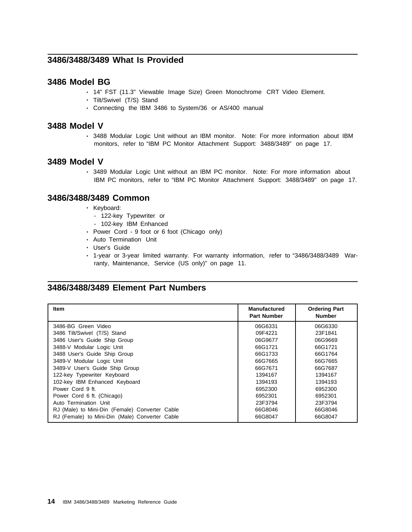## **3486/3488/3489 What Is Provided**

### **3486 Model BG**

- 14" FST (11.3" Viewable Image Size) Green Monochrome CRT Video Element.
- Tilt/Swivel (T/S) Stand
- Connecting the IBM 3486 to System/36 or AS/400 manual

### **3488 Model V**

• 3488 Modular Logic Unit without an IBM monitor. Note: For more information about IBM monitors, refer to "IBM PC Monitor Attachment Support: 3488/3489" on page 17.

### **3489 Model V**

• 3489 Modular Logic Unit without an IBM PC monitor. Note: For more information about IBM PC monitors, refer to "IBM PC Monitor Attachment Support: 3488/3489" on page 17.

### **3486/3488/3489 Common**

- Keyboard:
	- 122-key Typewriter or
	- 102-key IBM Enhanced
- Power Cord 9 foot or 6 foot (Chicago only)
- Auto Termination Unit
- User's Guide
- 1-year or 3-year limited warranty. For warranty information, refer to "3486/3488/3489 Warranty, Maintenance, Service (US only)" on page 11.

### **3486/3488/3489 Element Part Numbers**

| Item                                           | <b>Manufactured</b><br><b>Part Number</b> | <b>Ordering Part</b><br><b>Number</b> |
|------------------------------------------------|-------------------------------------------|---------------------------------------|
| 3486-BG Green Video                            | 06G6331                                   | 06G6330                               |
| 3486 Tilt/Swivel (T/S) Stand                   | 09F4221                                   | 23F1841                               |
| 3486 User's Guide Ship Group                   | 06G9677                                   | 06G9669                               |
| 3488-V Modular Logic Unit                      | 66G1721                                   | 66G1721                               |
| 3488 User's Guide Ship Group                   | 66G1733                                   | 66G1764                               |
| 3489-V Modular Logic Unit                      | 66G7665                                   | 66G7665                               |
| 3489-V User's Guide Ship Group                 | 66G7671                                   | 66G7687                               |
| 122-key Typewriter Keyboard                    | 1394167                                   | 1394167                               |
| 102-key IBM Enhanced Keyboard                  | 1394193                                   | 1394193                               |
| Power Cord 9 ft.                               | 6952300                                   | 6952300                               |
| Power Cord 6 ft. (Chicago)                     | 6952301                                   | 6952301                               |
| Auto Termination Unit                          | 23F3794                                   | 23F3794                               |
| RJ (Male) to Mini-Din (Female) Converter Cable | 66G8046                                   | 66G8046                               |
| RJ (Female) to Mini-Din (Male) Converter Cable | 66G8047                                   | 66G8047                               |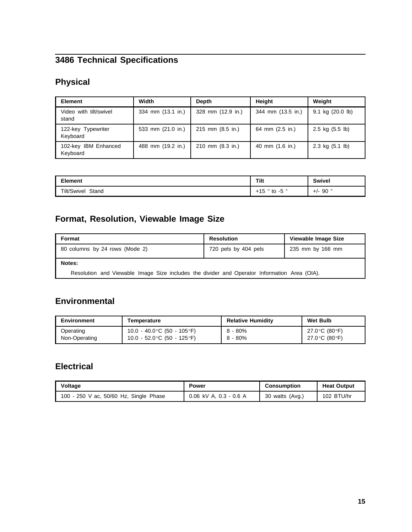# **3486 Technical Specifications**

# **Physical**

| <b>Element</b>                   | Width                       | <b>Depth</b>      | Height            | Weight                            |
|----------------------------------|-----------------------------|-------------------|-------------------|-----------------------------------|
| Video with tilt/swivel<br>stand  | 334 mm (13.1 in.)           | 328 mm (12.9 in.) | 344 mm (13.5 in.) | 9.1 kg (20.0 lb)                  |
| 122-key Typewriter<br>Keyboard   | 533 mm $(21.0 \text{ in.})$ | 215 mm (8.5 in.)  | 64 mm (2.5 in.)   | $2.5 \text{ kg} (5.5 \text{ lb})$ |
| 102-key IBM Enhanced<br>Keyboard | 488 mm (19.2 in.)           | 210 mm (8.3 in.)  | 40 mm (1.6 in.)   | 2.3 kg $(5.1 \text{ lb})$         |

| <b>Element</b>       | Tilt                | Swivel     |  |
|----------------------|---------------------|------------|--|
| Tilt/Swivel<br>Stand | +15<br>. -5 °<br>to | 90°<br>+/- |  |

# **Format, Resolution, Viewable Image Size**

| Format                                                                                       | <b>Resolution</b>    | Viewable Image Size |  |
|----------------------------------------------------------------------------------------------|----------------------|---------------------|--|
| 80 columns by 24 rows (Mode 2)                                                               | 720 pels by 404 pels | 235 mm by 166 mm    |  |
| Notes:                                                                                       |                      |                     |  |
| Resolution and Viewable Image Size includes the divider and Operator Information Area (OIA). |                      |                     |  |

## **Environmental**

| <b>Environment</b> | Temperature                  | <b>Relative Humidity</b> | <b>Wet Bulb</b> |
|--------------------|------------------------------|--------------------------|-----------------|
| Operating          | 10.0 - 40.0 °C (50 - 105 °F) | $8 - 80\%$               | 27.0 °C (80 °F) |
| Non-Operating      | 10.0 - 52.0 °C (50 - 125 °F) | $8 - 80%$                | 27.0 °C (80 °F) |

## **Electrical**

| Voltage                                | Power                      | Consumption     | <b>Heat Output</b> |  |
|----------------------------------------|----------------------------|-----------------|--------------------|--|
| 100 - 250 V ac, 50/60 Hz, Single Phase | $0.06$ kV A, $0.3 - 0.6$ A | 30 watts (Avg.) | 102 BTU/hr         |  |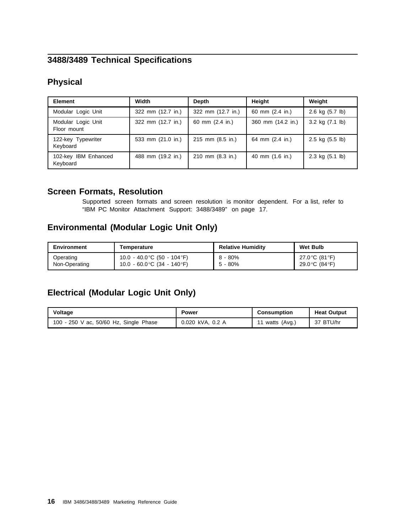## **3488/3489 Technical Specifications**

## **Physical**

| <b>Element</b>                    | Width             | Depth                      | Height            | Weight                    |
|-----------------------------------|-------------------|----------------------------|-------------------|---------------------------|
| Modular Logic Unit                | 322 mm (12.7 in.) | 322 mm (12.7 in.)          | 60 mm (2.4 in.)   | 2.6 kg $(5.7 \text{ lb})$ |
| Modular Logic Unit<br>Floor mount | 322 mm (12.7 in.) | 60 mm (2.4 in.)            | 360 mm (14.2 in.) | 3.2 kg $(7.1 \text{ lb})$ |
| 122-key Typewriter<br>Keyboard    | 533 mm (21.0 in.) | 215 mm (8.5 in.)           | 64 mm (2.4 in.)   | $2.5 \text{ kg}$ (5.5 lb) |
| 102-key IBM Enhanced<br>Keyboard  | 488 mm (19.2 in.) | 210 mm $(8.3 \text{ in.})$ | 40 mm (1.6 in.)   | 2.3 kg $(5.1 \text{ lb})$ |

## **Screen Formats, Resolution**

Supported screen formats and screen resolution is monitor dependent. For a list, refer to "IBM PC Monitor Attachment Support: 3488/3489" on page 17.

## **Environmental (Modular Logic Unit Only)**

| Environment   | Temperature                                  | <b>Relative Humidity</b> | <b>Wet Bulb</b> |
|---------------|----------------------------------------------|--------------------------|-----------------|
| Operating     | 10.0 - 40.0 °C (50 - 104 °F)                 | $8 - 80\%$               | 27.0 °C (81 °F) |
| Non-Operating | 10.0 $-60.0^{\circ}$ C (34 $-140^{\circ}$ F) | $5 - 80%$                | 29.0 °C (84 °F) |

## **Electrical (Modular Logic Unit Only)**

| Voltage                                | <b>Power</b>     | Consumption    | <b>Heat Output</b> |
|----------------------------------------|------------------|----------------|--------------------|
| 100 - 250 V ac, 50/60 Hz, Single Phase | 0.020 kVA, 0.2 A | ' watts (Avg.) | 37 BTU/hr          |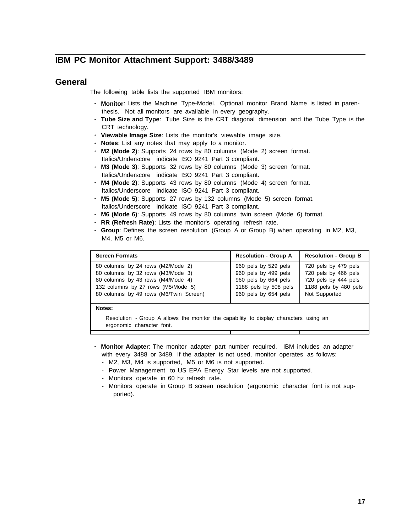### **IBM PC Monitor Attachment Support: 3488/3489**

### **General**

The following table lists the supported IBM monitors:

- **Monitor**: Lists the Machine Type-Model. Optional monitor Brand Name is listed in parenthesis. Not all monitors are available in every geography.
- **Tube Size and Type**: Tube Size is the CRT diagonal dimension and the Tube Type is the CRT technology.
- **Viewable Image Size**: Lists the monitor's viewable image size.
- **Notes**: List any notes that may apply to a monitor.
- **M2 (Mode 2)**: Supports 24 rows by 80 columns (Mode 2) screen format. Italics/Underscore indicate ISO 9241 Part 3 compliant.
- **M3 (Mode 3)**: Supports 32 rows by 80 columns (Mode 3) screen format. Italics/Underscore indicate ISO 9241 Part 3 compliant.
- **M4 (Mode 2)**: Supports 43 rows by 80 columns (Mode 4) screen format. Italics/Underscore indicate ISO 9241 Part 3 compliant.
- **M5 (Mode 5)**: Supports 27 rows by 132 columns (Mode 5) screen format. Italics/Underscore indicate ISO 9241 Part 3 compliant.
- **M6 (Mode 6)**: Supports 49 rows by 80 columns twin screen (Mode 6) format.
- **RR (Refresh Rate)**: Lists the monitor's operating refresh rate.
- **Group**: Defines the screen resolution (Group A or Group B) when operating in M2, M3, M4, M5 or M6.

| <b>Screen Formats</b>                  | <b>Resolution - Group A</b> | <b>Resolution - Group B</b> |
|----------------------------------------|-----------------------------|-----------------------------|
| 80 columns by 24 rows (M2/Mode 2)      | 960 pels by 529 pels        | 720 pels by 479 pels        |
| 80 columns by 32 rows (M3/Mode 3)      | 960 pels by 499 pels        | 720 pels by 466 pels        |
| 80 columns by 43 rows (M4/Mode 4)      | 960 pels by 664 pels        | 720 pels by 444 pels        |
| 132 columns by 27 rows (M5/Mode 5)     | 1188 pels by 508 pels       | 1188 pels by 480 pels       |
| 80 columns by 49 rows (M6/Twin Screen) | 960 pels by 654 pels        | Not Supported               |

#### **Notes:**

Resolution - Group A allows the monitor the capability to display characters using an ergonomic character font.

- **Monitor Adapter**: The monitor adapter part number required. IBM includes an adapter with every 3488 or 3489. If the adapter is not used, monitor operates as follows:
	- M2, M3, M4 is supported, M5 or M6 is not supported.
	- Power Management to US EPA Energy Star levels are not supported.
	- Monitors operate in 60 hz refresh rate.
	- Monitors operate in Group B screen resolution (ergonomic character font is not supported).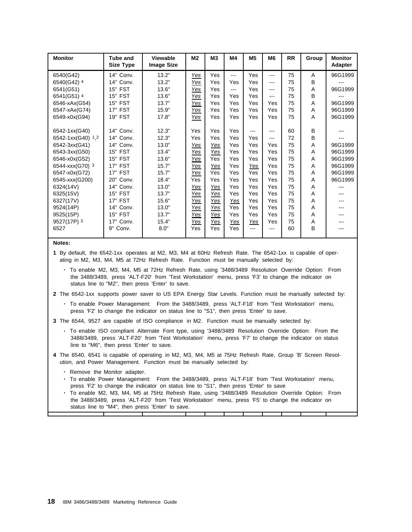| <b>Monitor</b>    | <b>Tube and</b><br><b>Size Type</b> | <b>Viewable</b><br><b>Image Size</b> | M2         | <b>M3</b>  | M4   | M <sub>5</sub> | M <sub>6</sub> | <b>RR</b> | Group | <b>Monitor</b><br><b>Adapter</b> |
|-------------------|-------------------------------------|--------------------------------------|------------|------------|------|----------------|----------------|-----------|-------|----------------------------------|
| 6540(G42)         | 14" Conv.                           | 13.2"                                | Yes        | Yes        | ---  | Yes            | $--$           | 75        | A     | 96G1999                          |
| 6540(G42) 4       | 14"<br>Conv.                        | 13.2"                                | Yes        | Yes        | Yes  | Yes            | $--$           | 75        | B     |                                  |
| 6541(G51)         | 15" FST                             | 13.6"                                | Yes        | Yes        | $--$ | Yes            | $--$           | 75        | A     | 96G1999                          |
| 6541(G51) 4       | <b>15" FST</b>                      | 13.6"                                | Yes        | Yes        | Yes  | Yes            | $--$           | 75        | B     |                                  |
| 6546-xAx(G54)     | <b>15" FST</b>                      | 13.7"                                | Yes        | Yes        | Yes  | Yes            | Yes            | 75        | A     | 96G1999                          |
| 6547-xAx(G74)     | 17" FST                             | 15.9"                                | Yes        | Yes        | Yes  | Yes            | Yes            | 75        | A     | 96G1999                          |
| 6549-x0x(G94)     | 19" FST                             | 17.8"                                | Yes        | Yes        | Yes  | Yes            | Yes            | 75        | A     | 96G1999                          |
|                   |                                     |                                      |            |            |      |                |                |           |       |                                  |
| 6542-1xx(G40)     | 14"<br>Conv.                        | 12.3"                                | Yes        | Yes        | Yes  | ---            | $--$           | 60        | B     |                                  |
| 6542-1xx(G40) 1,2 | 14"<br>Conv.                        | 12.3"                                | Yes        | Yes        | Yes  | Yes            | ---            | 72        | B     |                                  |
| 6542-3xx(G41)     | 14"<br>Conv.                        | 13.0"                                | <u>Yes</u> | <u>Yes</u> | Yes  | Yes            | Yes            | 75        | A     | 96G1999                          |
| 6543-3xx(G50)     | 15" FST                             | 13.4"                                | Yes        | Yes        | Yes  | Yes            | Yes            | 75        | A     | 96G1999                          |
| 6546-x0x(G52)     | 15" FST                             | 13.6"                                | Yes        | Yes        | Yes  | Yes            | Yes            | 75        | A     | 96G1999                          |
| 6544-xxx(G70) 3   | <b>17" FST</b>                      | 15.7"                                | Yes        | Yes        | Yes  | Yes            | Yes            | 75        | A     | 96G1999                          |
| 6547-x0x(G72)     | 17" FST                             | 15.7"                                | Yes        | Yes        | Yes  | Yes            | Yes            | 75        | A     | 96G1999                          |
| 6545-xxx(G200)    | 20"<br>Conv.                        | 18.4"                                | Yes        | Yes        | Yes  | Yes            | Yes            | 75        | A     | 96G1999                          |
| 6324(14V)         | Conv.<br>14"                        | 13.0"                                | <u>Yes</u> | <u>Yes</u> | Yes  | Yes            | Yes            | 75        | Α     |                                  |
| 6325(15V)         | <b>FST</b><br>15"                   | 13.7"                                | Yes        | Yes        | Yes  | Yes            | Yes            | 75        | Α     |                                  |
| 6327(17V)         | 17" FST                             | 15.6"                                | Yes        | Yes        | Yes  | Yes            | Yes            | 75        | A     |                                  |
| 9524(14P)         | 14"<br>Conv.                        | 13.0"                                | Yes        | Yes        | Yes  | Yes            | Yes            | 75        | Α     |                                  |
| 9525(15P)         | <b>FST</b><br>15"                   | 13.7"                                | Yes        | Yes        | Yes  | Yes            | Yes            | 75        | A     |                                  |
| 9527(17P) 3       | 17"<br>Conv.                        | 15.4"                                | <u>Yes</u> | Yes        | Yes  | Yes            | Yes            | 75        | A     |                                  |
| 6527              | 9"<br>Conv.                         | 8.0"                                 | Yes        | Yes        | Yes  | $- - -$        | $--$           | 60        | B     |                                  |
|                   |                                     |                                      |            |            |      |                |                |           |       |                                  |

#### **Notes:**

**1** By default, the 6542-1xx operates at M2, M3, M4 at 60Hz Refresh Rate. The 6542-1xx is capable of operating in M2, M3, M4, M5 at 72Hz Refresh Rate. Function must be manually selected by:

- To enable M2, M3, M4, M5 at 72Hz Refresh Rate, using '3488/3489 Resolution Override Option: From the 3488/3489, press 'ALT-F20' from 'Test Workstation' menu, press 'F3' to change the indicator on status line to "M2", then press 'Enter' to save.
- **2** The 6542-1xx supports power saver to US EPA Energy Star Levels. Function must be manually selected by:
	- To enable Power Management: From the 3488/3489, press 'ALT-F18' from 'Test Workstation' menu, press 'F2' to change the indicator on status line to "S1", then press 'Enter' to save.
- **3** The 6544, 9527 are capable of ISO compliance in M2. Function must be manually selected by:
	- To enable ISO compliant Alternate Font type, using '3488/3489 Resolution Override Option: From the 3488/3489, press 'ALT-F20' from 'Test Workstation' menu, press 'F7' to change the indicator on status line to "M6", then press 'Enter' to save.
- **4** The 6540, 6541 is capable of operating in M2, M3, M4, M5 at 75Hz Refresh Rate, Group 'B' Screen Resolution, and Power Management. Function must be manually selected by:
	- Remove the Monitor adapter.
	- To enable Power Management: From the 3488/3489, press 'ALT-F18' from 'Test Workstation' menu, press 'F2' to change the indicator on status line to "S1", then press 'Enter' to save
	- To enable M2, M3, M4, M5 at 75Hz Refresh Rate, using '3488/3489 Resolution Override Option: From the 3488/3489, press 'ALT-F20' from 'Test Workstation' menu, press 'F5' to change the indicator on status line to "M4", then press 'Enter' to save.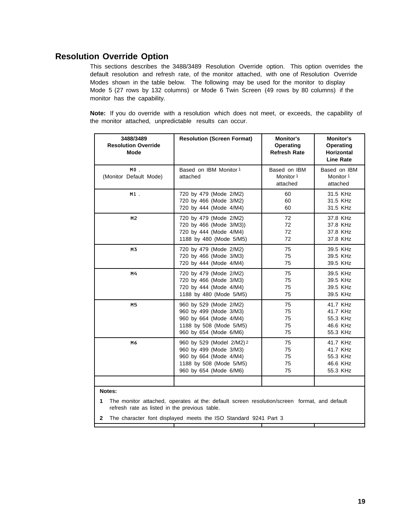## **Resolution Override Option**

This sections describes the 3488/3489 Resolution Override option. This option overrides the default resolution and refresh rate, of the monitor attached, with one of Resolution Override Modes shown in the table below. The following may be used for the monitor to display Mode 5 (27 rows by 132 columns) or Mode 6 Twin Screen (49 rows by 80 columns) if the monitor has the capability.

**Note:** If you do override with a resolution which does not meet, or exceeds, the capability of the monitor attached, unpredictable results can occur.

| 3488/3489<br><b>Resolution Override</b><br>Mode | <b>Resolution (Screen Format)</b>                                                                                                  | <b>Monitor's</b><br>Operating<br><b>Refresh Rate</b> | <b>Monitor's</b><br><b>Operating</b><br><b>Horizontal</b><br><b>Line Rate</b> |
|-------------------------------------------------|------------------------------------------------------------------------------------------------------------------------------------|------------------------------------------------------|-------------------------------------------------------------------------------|
| $MO$ .<br>(Monitor Default Mode)                | Based on IBM Monitor 1<br>attached                                                                                                 | Based on IBM<br>Monitor 1<br>attached                | Based on IBM<br>Monitor 1<br>attached                                         |
| $M1$ .                                          | 720 by 479 (Mode 2/M2)                                                                                                             | 60                                                   | 31.5 KHz                                                                      |
|                                                 | 720 by 466 (Mode 3/M2)                                                                                                             | 60                                                   | 31.5 KHz                                                                      |
|                                                 | 720 by 444 (Mode 4/M4)                                                                                                             | 60                                                   | 31.5 KHz                                                                      |
| M2                                              | 720 by 479 (Mode 2/M2)                                                                                                             | 72                                                   | 37.8 KHz                                                                      |
|                                                 | 720 by 466 (Mode 3/M3))                                                                                                            | 72                                                   | 37.8 KHz                                                                      |
|                                                 | 720 by 444 (Mode 4/M4)                                                                                                             | 72                                                   | 37.8 KHz                                                                      |
|                                                 | 1188 by 480 (Mode 5/M5)                                                                                                            | 72                                                   | 37.8 KHz                                                                      |
| M3                                              | 720 by 479 (Mode 2/M2)                                                                                                             | 75                                                   | 39.5 KHz                                                                      |
|                                                 | 720 by 466 (Mode 3/M3)                                                                                                             | 75                                                   | 39.5 KHz                                                                      |
|                                                 | 720 by 444 (Mode 4/M4)                                                                                                             | 75                                                   | 39.5 KHz                                                                      |
| M4                                              | 720 by 479 (Mode 2/M2)                                                                                                             | 75                                                   | 39.5 KHz                                                                      |
|                                                 | 720 by 466 (Mode 3/M3)                                                                                                             | 75                                                   | 39.5 KHz                                                                      |
|                                                 | 720 by 444 (Mode 4/M4)                                                                                                             | 75                                                   | 39.5 KHz                                                                      |
|                                                 | 1188 by 480 (Mode 5/M5)                                                                                                            | 75                                                   | 39.5 KHz                                                                      |
| M <sub>5</sub>                                  | 960 by 529 (Mode 2/M2)                                                                                                             | 75                                                   | 41.7 KHz                                                                      |
|                                                 | 960 by 499 (Mode 3/M3)                                                                                                             | 75                                                   | 41.7 KHz                                                                      |
|                                                 | 960 by 664 (Mode 4/M4)                                                                                                             | 75                                                   | 55.3 KHz                                                                      |
|                                                 | 1188 by 508 (Mode 5/M5)                                                                                                            | 75                                                   | 46.6 KHz                                                                      |
|                                                 | 960 by 654 (Mode 6/M6)                                                                                                             | 75                                                   | 55.3 KHz                                                                      |
| M6                                              | 960 by 529 (Model 2/M2) 2<br>960 by 499 (Mode 3/M3)<br>960 by 664 (Mode 4/M4)<br>1188 by 508 (Mode 5/M5)<br>960 by 654 (Mode 6/M6) |                                                      | 41.7 KHz<br>41.7 KHz<br>55.3 KHz<br>46.6 KHz<br>55.3 KHz                      |
| Notes:                                          |                                                                                                                                    |                                                      |                                                                               |
| 1                                               | The monitor attached, operates at the: default screen resolution/screen format, and default                                        |                                                      |                                                                               |

refresh rate as listed in the previous table.

**2** The character font displayed meets the ISO Standard 9241 Part 3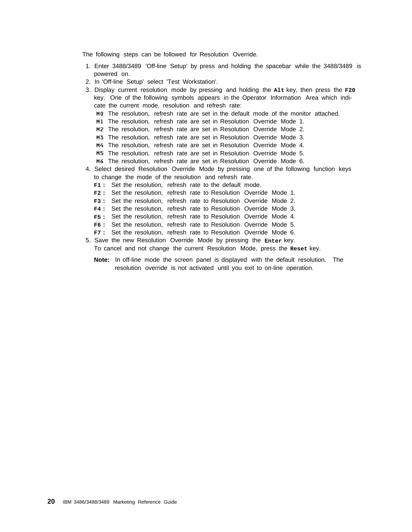The following steps can be followed for Resolution Override.

- 1. Enter 3488/3489 'Off-line Setup' by press and holding the spacebar while the 3488/3489 is powered on.
- 2. In 'Off-line Setup' select 'Test Workstation'.
- 3. Display current resolution mode by pressing and holding the **Alt** key, then press the **F20** key. One of the following symbols appears in the Operator Information Area which indicate the current mode, resolution and refresh rate: M0 The resolution, refresh rate are set in the default mode of the monitor attached. M1 The resolution, refresh rate are set in Resolution Override Mode 1. M2 The resolution, refresh rate are set in Resolution Override Mode 2. M3 The resolution, refresh rate are set in Resolution Override Mode 3. M4 The resolution, refresh rate are set in Resolution Override Mode 4. M5 The resolution, refresh rate are set in Resolution Override Mode 5. M6 The resolution, refresh rate are set in Resolution Override Mode 6. 4. Select desired Resolution Override Mode by pressing one of the following function keys to change the mode of the resolution and refresh rate.
	- **F1 :** Set the resolution, refresh rate to the default mode.
	- **F2 :** Set the resolution, refresh rate to Resolution Override Mode 1.
	- **F3 :** Set the resolution, refresh rate to Resolution Override Mode 2.
	- **F4 :** Set the resolution, refresh rate to Resolution Override Mode 3.
	- **F5 :** Set the resolution, refresh rate to Resolution Override Mode 4.
	- **F6 :** Set the resolution, refresh rate to Resolution Override Mode 5.
	- **F7 :** Set the resolution, refresh rate to Resolution Override Mode 6.
- 5. Save the new Resolution Override Mode by pressing the **Enter** key. To cancel and not change the current Resolution Mode, press the **Reset** key.
	- **Note:** In off-line mode the screen panel is displayed with the default resolution. The resolution override is not activated until you exit to on-line operation.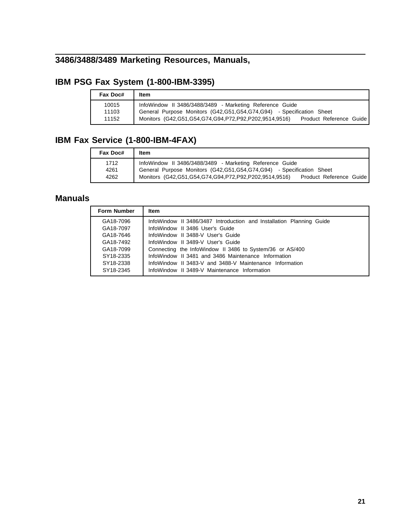# **3486/3488/3489 Marketing Resources, Manuals,**

# **IBM PSG Fax System (1-800-IBM-3395)**

| Fax Doc# | Item                                                                                      |
|----------|-------------------------------------------------------------------------------------------|
| 10015    | InfoWindow II 3486/3488/3489 - Marketing Reference Guide                                  |
| 11103    | General Purpose Monitors (G42, G51, G54, G74, G94) - Specification Sheet                  |
| 11152    | Monitors (G42, G51, G54, G74, G94, P72, P92, P202, 9514, 9516)<br>Product Reference Guide |

## **IBM Fax Service (1-800-IBM-4FAX)**

| Fax Doc#             | Item                                                                                                                                                                                                                   |
|----------------------|------------------------------------------------------------------------------------------------------------------------------------------------------------------------------------------------------------------------|
| 1712<br>4261<br>4262 | InfoWindow II 3486/3488/3489 - Marketing Reference Guide<br>General Purpose Monitors (G42,G51,G54,G74,G94) - Specification Sheet<br>Monitors (G42,G51,G54,G74,G94,P72,P92,P202,9514,9516)<br>Product Reference Guide I |

## **Manuals**

| <b>Form Number</b> | Item                                                                 |
|--------------------|----------------------------------------------------------------------|
| GA18-7096          | InfoWindow II 3486/3487 Introduction and Installation Planning Guide |
| GA18-7097          | InfoWindow II 3486 User's Guide                                      |
| GA18-7646          | InfoWindow II 3488-V User's Guide                                    |
| GA18-7492          | InfoWindow II 3489-V User's Guide                                    |
| GA18-7099          | Connecting the InfoWindow II 3486 to System/36 or AS/400             |
| SY18-2335          | InfoWindow II 3481 and 3486 Maintenance Information                  |
| SY18-2338          | InfoWindow II 3483-V and 3488-V Maintenance Information              |
| SY18-2345          | InfoWindow II 3489-V Maintenance Information                         |